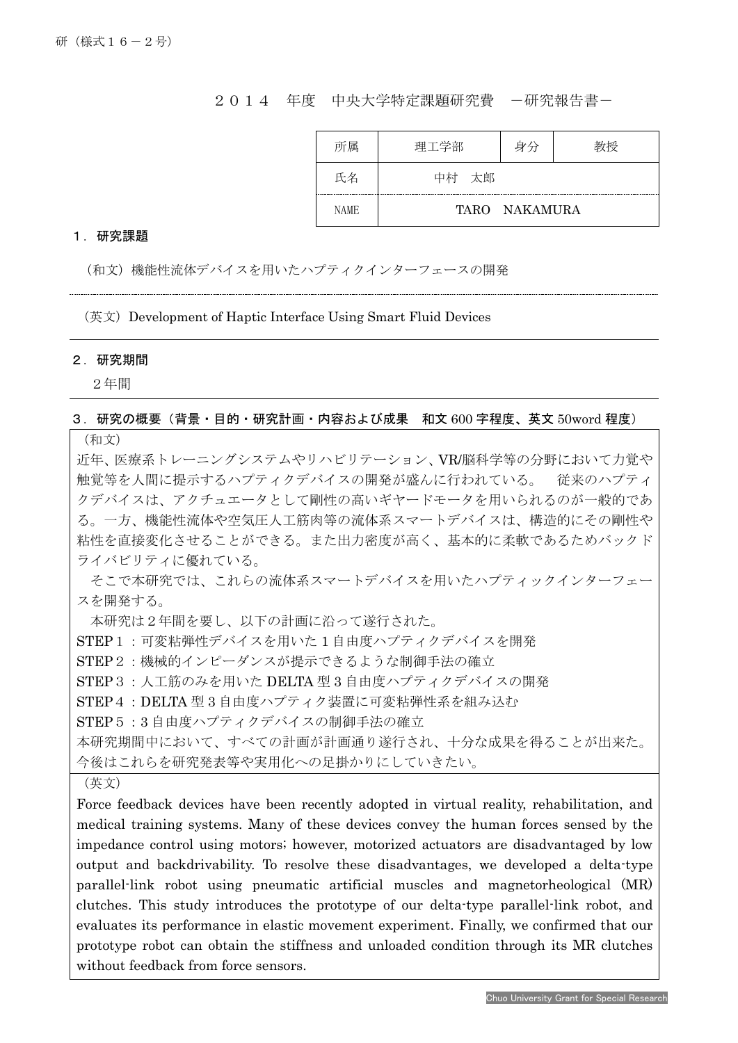## 2014 年度 中央大学特定課題研究費 -研究報告書-

| 所属          | 理工学部     | 身分            |  |
|-------------|----------|---------------|--|
| 氏名          | 太郎<br>中村 |               |  |
| <b>NAME</b> |          | TARO NAKAMURA |  |

## 1.研究課題

(和文)機能性流体デバイスを用いたハプティクインターフェースの開発

(英文) Development of Haptic Interface Using Smart Fluid Devices

## 2.研究期間

Ī

2年間

## 3.研究の概要(背景・目的・研究計画・内容および成果 和文 600 字程度、英文 50word 程度)

(和文)

近年、医療系トレーニングシステムやリハビリテーション、VR/脳科学等の分野において力覚や 触覚等を人間に提示するハプティクデバイスの開発が盛んに行われている。 従来のハプティ クデバイスは、アクチュエータとして剛性の高いギヤードモータを用いられるのが一般的であ る。一方、機能性流体や空気圧人工筋肉等の流体系スマートデバイスは、構造的にその剛性や 粘性を直接変化させることができる。また出力密度が高く、基本的に柔軟であるためバックド ライバビリティに優れている。

そこで本研究では、これらの流体系スマートデバイスを用いたハプティックインターフェー スを開発する。

本研究は2年間を要し、以下の計画に沿って遂行された。

STEP1:可変粘弾性デバイスを用いた1自由度ハプティクデバイスを開発

STEP2:機械的インピーダンスが提示できるような制御手法の確立

STEP3: 人工筋のみを用いた DELTA 型 3 自由度ハプティクデバイスの開発

STEP4:DELTA 型 3 自由度ハプティク装置に可変粘弾性系を組み込む

STEP5:3自由度ハプティクデバイスの制御手法の確立

本研究期間中において、すべての計画が計画通り遂行され、十分な成果を得ることが出来た。

今後はこれらを研究発表等や実用化への足掛かりにしていきたい。

(英文)

Force feedback devices have been recently adopted in virtual reality, rehabilitation, and medical training systems. Many of these devices convey the human forces sensed by the impedance control using motors; however, motorized actuators are disadvantaged by low output and backdrivability. To resolve these disadvantages, we developed a delta-type parallel-link robot using pneumatic artificial muscles and magnetorheological (MR) clutches. This study introduces the prototype of our delta-type parallel-link robot, and evaluates its performance in elastic movement experiment. Finally, we confirmed that our prototype robot can obtain the stiffness and unloaded condition through its MR clutches without feedback from force sensors.